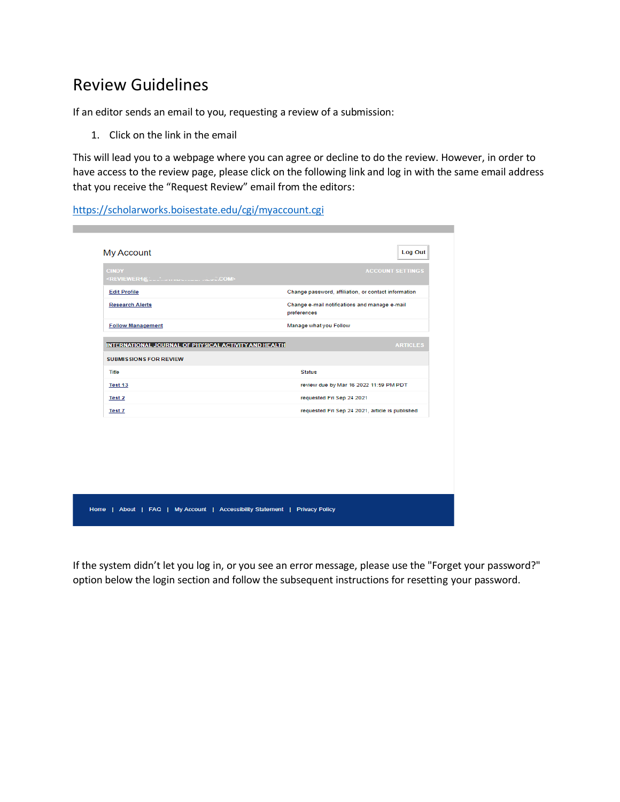## Review Guidelines

If an editor sends an email to you, requesting a review of a submission:

1. Click on the link in the email

This will lead you to a webpage where you can agree or decline to do the review. However, in order to have access to the review page, please click on the following link and log in with the same email address that you receive the "Request Review" email from the editors:

<https://scholarworks.boisestate.edu/cgi/myaccount.cgi>

| Change password, affiliation, or contact information<br>Change e-mail notifications and manage e-mail<br>preferences<br>Manage what you Follow<br>INTERNATIONAL JOURNAL OF PHYSICAL ACTIVITY AND HEALTH<br><b>ARTICLES</b><br><b>Status</b><br>review due by Mar 16 2022 11:59 PM PDT<br>requested Fri Sep 24 2021<br>requested Fri Sep 24 2021, article is published | <b>CINDY</b>                  | <b>ACCOUNT SETTINGS</b> |
|-----------------------------------------------------------------------------------------------------------------------------------------------------------------------------------------------------------------------------------------------------------------------------------------------------------------------------------------------------------------------|-------------------------------|-------------------------|
|                                                                                                                                                                                                                                                                                                                                                                       | <b>Edit Profile</b>           |                         |
|                                                                                                                                                                                                                                                                                                                                                                       | <b>Research Alerts</b>        |                         |
|                                                                                                                                                                                                                                                                                                                                                                       | <b>Follow Management</b>      |                         |
|                                                                                                                                                                                                                                                                                                                                                                       |                               |                         |
|                                                                                                                                                                                                                                                                                                                                                                       | <b>SUBMISSIONS FOR REVIEW</b> |                         |
|                                                                                                                                                                                                                                                                                                                                                                       | Title                         |                         |
|                                                                                                                                                                                                                                                                                                                                                                       | Test 13                       |                         |
|                                                                                                                                                                                                                                                                                                                                                                       | Test 2                        |                         |
|                                                                                                                                                                                                                                                                                                                                                                       | Test 7                        |                         |
|                                                                                                                                                                                                                                                                                                                                                                       |                               |                         |
|                                                                                                                                                                                                                                                                                                                                                                       |                               |                         |

Home | About | FAQ | My Account | Accessibility Statement | Privacy Policy

If the system didn't let you log in, or you see an error message, please use the "Forget your password?" option below the login section and follow the subsequent instructions for resetting your password.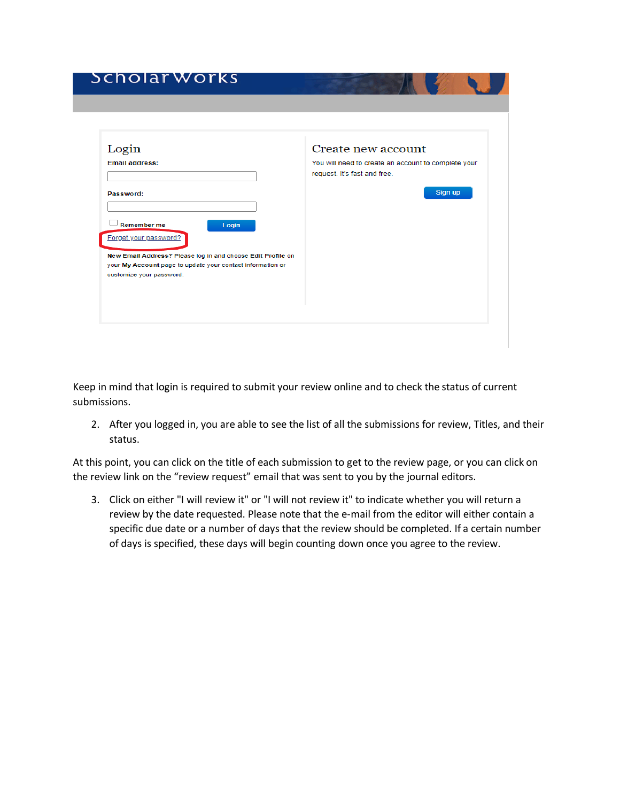## Scholar Works

| Login                                                                                  | Create new account                                                                  |
|----------------------------------------------------------------------------------------|-------------------------------------------------------------------------------------|
| <b>Email address:</b>                                                                  | You will need to create an account to complete your<br>request. It's fast and free. |
| Password:                                                                              | Sign up                                                                             |
| Remember me<br>Login<br>Forget your password?                                          |                                                                                     |
| New Email Address? Please log in and choose Edit Profile on                            |                                                                                     |
| your My Account page to update your contact information or<br>customize your password. |                                                                                     |
|                                                                                        |                                                                                     |

Keep in mind that login is required to submit your review online and to check the status of current submissions.

2. After you logged in, you are able to see the list of all the submissions for review, Titles, and their status.

At this point, you can click on the title of each submission to get to the review page, or you can click on the review link on the "review request" email that was sent to you by the journal editors.

3. Click on either "I will review it" or "I will not review it" to indicate whether you will return a review by the date requested. Please note that the e-mail from the editor will either contain a specific due date or a number of days that the review should be completed. If a certain number of days is specified, these days will begin counting down once you agree to the review.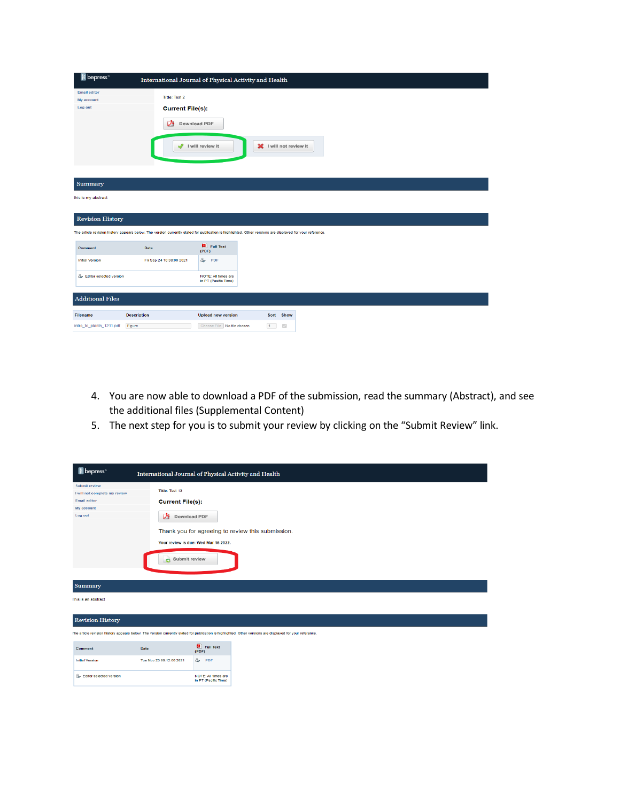| B bepress <sup>-</sup>                                    |                                                                                                                                                           | International Journal of Physical Activity and Health |                              |  |
|-----------------------------------------------------------|-----------------------------------------------------------------------------------------------------------------------------------------------------------|-------------------------------------------------------|------------------------------|--|
| <b>Email editor</b><br>My account<br>Log out              | <b>Title: Test 2</b><br><b>Current File(s):</b><br>甴<br>৶                                                                                                 | <b>Download PDF</b><br>I will review it               | I will not review it         |  |
| Summary<br>this is my abstract<br><b>Revision History</b> |                                                                                                                                                           |                                                       |                              |  |
|                                                           | The article revision history appears below. The version currently slated for publication is highlighted. Other versions are displayed for your reference. |                                                       |                              |  |
| Comment                                                   | Date                                                                                                                                                      | Full Text<br>(PDF)                                    |                              |  |
| <b>Initial Version</b>                                    | Fri Sep 24 10:38:00 2021                                                                                                                                  | $\hat{\alpha}$<br>PDF                                 |                              |  |
| Editor selected version                                   |                                                                                                                                                           | <b>NOTE: All times are</b><br>in PT (Pacific Time)    |                              |  |
| <b>Additional Files</b>                                   |                                                                                                                                                           |                                                       |                              |  |
| <b>Filename</b>                                           | <b>Description</b>                                                                                                                                        | <b>Upload new version</b>                             | Sort Show                    |  |
| intro_to_plants_1211.pdf                                  | Figure                                                                                                                                                    | Choose File No file chosen                            | 1<br>$\overline{\mathbb{Z}}$ |  |

- 4. You are now able to download a PDF of the submission, read the summary (Abstract), and see the additional files (Supplemental Content)
- 5. The next step for you is to submit your review by clicking on the "Submit Review" link.

| <b>B</b> bepress <sup>-</sup>                                                                                                                                                        | International Journal of Physical Activity and Health                                 |                                             |                                                   |  |  |
|--------------------------------------------------------------------------------------------------------------------------------------------------------------------------------------|---------------------------------------------------------------------------------------|---------------------------------------------|---------------------------------------------------|--|--|
| Submit review<br>I will not complete my review<br><b>Email editor</b><br>My account<br>Log out                                                                                       | Title: Test 13<br><b>Current File(s):</b><br>⊉<br>Download PDF<br>Submit review<br>o. | Your review is due: Wed Mar 16 2022.        | Thank you for agreeing to review this submission. |  |  |
| Summary<br>This is an abstract                                                                                                                                                       |                                                                                       |                                             |                                                   |  |  |
| <b>Revision History</b><br>The article revision history appears below. The version currently slated for publication is highlighted. Other versions are displayed for your reference. |                                                                                       |                                             |                                                   |  |  |
| Comment                                                                                                                                                                              | Date                                                                                  | $\Box$ Full Text<br>(PDF)                   |                                                   |  |  |
| <b>Initial Version</b>                                                                                                                                                               | Tue Nov 23 09:12:00 2021                                                              | & PDF                                       |                                                   |  |  |
| Editor selected version                                                                                                                                                              |                                                                                       | NOTE: All times are<br>in PT (Pacific Time) |                                                   |  |  |